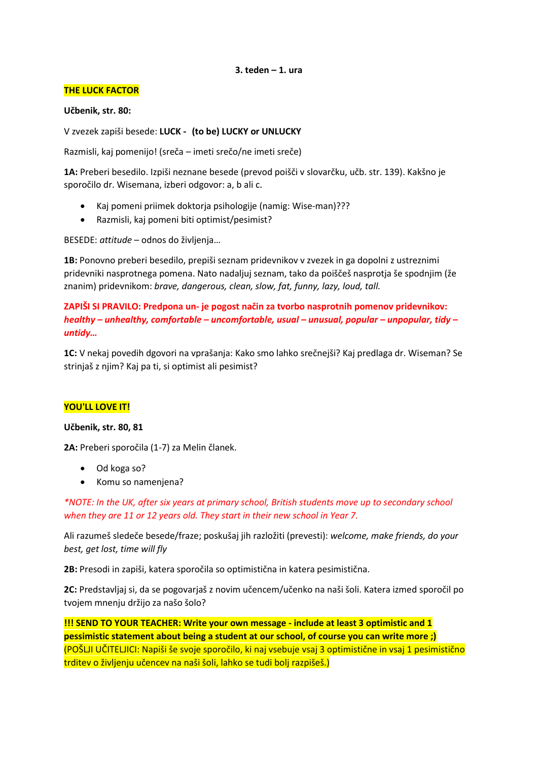#### **3. teden – 1. ura**

## **THE LUCK FACTOR**

**Učbenik, str. 80:**

V zvezek zapiši besede: **LUCK - (to be) LUCKY or UNLUCKY**

Razmisli, kaj pomenijo! (sreča – imeti srečo/ne imeti sreče)

**1A:** Preberi besedilo. Izpiši neznane besede (prevod poišči v slovarčku, učb. str. 139). Kakšno je sporočilo dr. Wisemana, izberi odgovor: a, b ali c.

- Kaj pomeni priimek doktorja psihologije (namig: Wise-man)???
- Razmisli, kaj pomeni biti optimist/pesimist?

BESEDE: *attitude* – odnos do življenja…

**1B:** Ponovno preberi besedilo, prepiši seznam pridevnikov v zvezek in ga dopolni z ustreznimi pridevniki nasprotnega pomena. Nato nadaljuj seznam, tako da poiščeš nasprotja še spodnjim (že znanim) pridevnikom: *brave, dangerous, clean, slow, fat, funny, lazy, loud, tall.*

**ZAPIŠI SI PRAVILO: Predpona un- je pogost način za tvorbo nasprotnih pomenov pridevnikov:**  *healthy – unhealthy, comfortable – uncomfortable, usual – unusual, popular – unpopular, tidy – untidy…*

**1C:** V nekaj povedih dgovori na vprašanja: Kako smo lahko srečnejši? Kaj predlaga dr. Wiseman? Se strinjaš z njim? Kaj pa ti, si optimist ali pesimist?

# **YOU'LL LOVE IT!**

**Učbenik, str. 80, 81**

**2A:** Preberi sporočila (1-7) za Melin članek.

- Od koga so?
- Komu so namenjena?

*\*NOTE: In the UK, after six years at primary school, British students move up to secondary school when they are 11 or 12 years old. They start in their new school in Year 7.*

Ali razumeš sledeče besede/fraze; poskušaj jih razložiti (prevesti): *welcome, make friends, do your best, get lost, time will fly*

**2B:** Presodi in zapiši, katera sporočila so optimistična in katera pesimistična.

**2C:** Predstavljaj si, da se pogovarjaš z novim učencem/učenko na naši šoli. Katera izmed sporočil po tvojem mnenju držijo za našo šolo?

**!!! SEND TO YOUR TEACHER: Write your own message - include at least 3 optimistic and 1 pessimistic statement about being a student at our school, of course you can write more ;)** (POŠLJI UČITELJICI: Napiši še svoje sporočilo, ki naj vsebuje vsaj 3 optimistične in vsaj 1 pesimistično trditev o življenju učencev na naši šoli, lahko se tudi bolj razpišeš.)